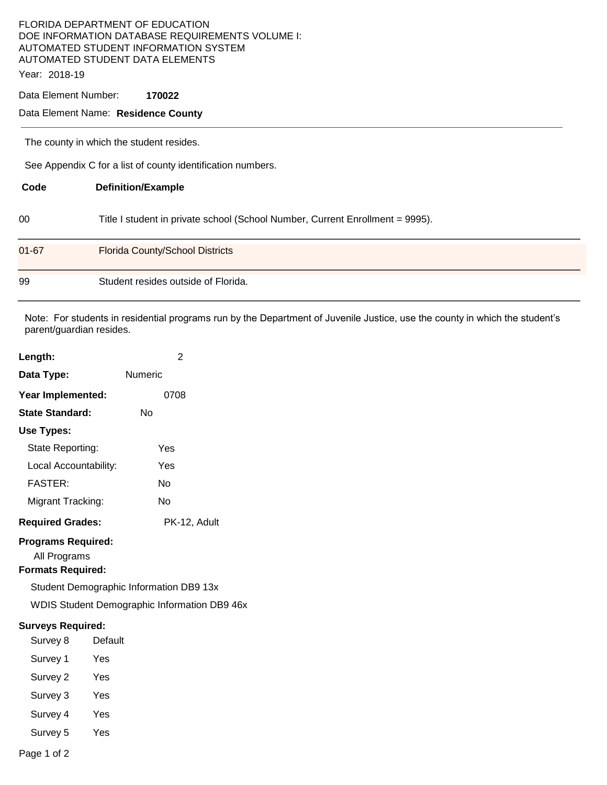## FLORIDA DEPARTMENT OF EDUCATION DOE INFORMATION DATABASE REQUIREMENTS VOLUME I: AUTOMATED STUDENT INFORMATION SYSTEM AUTOMATED STUDENT DATA ELEMENTS

Year: 2018-19

Data Element Number: **170022** 

## Data Element Name: **Residence County**

The county in which the student resides.

See Appendix C for a list of county identification numbers.

| Code      | <b>Definition/Example</b>                                                     |
|-----------|-------------------------------------------------------------------------------|
| 00        | Title I student in private school (School Number, Current Enrollment = 9995). |
| $01 - 67$ | <b>Florida County/School Districts</b>                                        |
| 99        | Student resides outside of Florida.                                           |

Note: For students in residential programs run by the Department of Juvenile Justice, use the county in which the student's parent/guardian resides.

| Length:                                                                                                                                                                 | 2              |  |  |  |
|-------------------------------------------------------------------------------------------------------------------------------------------------------------------------|----------------|--|--|--|
| Data Type:                                                                                                                                                              | <b>Numeric</b> |  |  |  |
| Year Implemented:                                                                                                                                                       | 0708           |  |  |  |
| <b>State Standard:</b>                                                                                                                                                  | No             |  |  |  |
| Use Types:                                                                                                                                                              |                |  |  |  |
| State Reporting:                                                                                                                                                        | Yes            |  |  |  |
| Local Accountability:                                                                                                                                                   | Yes            |  |  |  |
| <b>FASTER:</b>                                                                                                                                                          | No             |  |  |  |
| Migrant Tracking:                                                                                                                                                       | No             |  |  |  |
| <b>Required Grades:</b>                                                                                                                                                 | PK-12, Adult   |  |  |  |
| <b>Programs Required:</b><br>All Programs<br><b>Formats Required:</b><br>Student Demographic Information DB9 13x<br><b>WDIS Student Demographic Information DB9 46x</b> |                |  |  |  |
| <b>Surveys Required:</b>                                                                                                                                                |                |  |  |  |
| Survey 8                                                                                                                                                                | Default        |  |  |  |
| Survey 1                                                                                                                                                                | Yes            |  |  |  |
| Survey 2                                                                                                                                                                | Yes            |  |  |  |
| Survey 3                                                                                                                                                                | Yes            |  |  |  |
| Survey 4                                                                                                                                                                | Yes            |  |  |  |
| Survey 5                                                                                                                                                                | Yes            |  |  |  |

Page 1 of 2